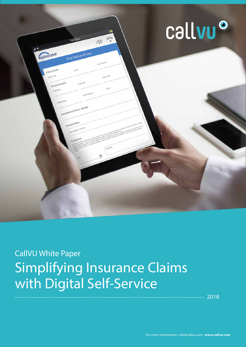

# CallVU White Paper Simplifying Insurance Claims with Digital Self-Service

............. 2018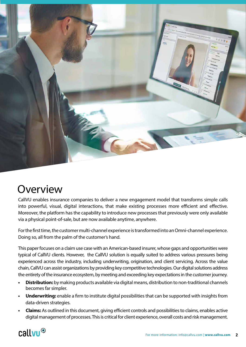

## Overview

CallVU enables insurance companies to deliver a new engagement model that transforms simple calls into powerful, visual, digital interactions, that make existing processes more efficient and effective. Moreover, the platform has the capability to introduce new processes that previously were only available via a physical point-of-sale, but are now available anytime, anywhere.

For the first time, the customer multi-channel experience is transformed into an Omni-channel experience. Doing so, all from the palm of the customer's hand.

This paper focuses on a claim use case with an American-based insurer, whose gaps and opportunities were typical of CallVU clients. However, the CallVU solution is equally suited to address various pressures being experienced across the industry, including underwriting, origination, and client servicing. Across the value chain, CallVU can assist organizations by providing key competitive technologies. Our digital solutions address the entirety of the insurance ecosystem, by meeting and exceeding key expectations in the customer journey.

- **• Distribution:** by making products available via digital means, distribution to non-traditional channels becomes far simpler.
- **• Underwriting:** enable a firm to institute digital possibilities that can be supported with insights from data-driven strategies.
- **• Claims:** As outlined in this document, giving efficient controls and possibilities to claims, enables active digital management of processes. This is critical for client experience, overall costs and risk management.

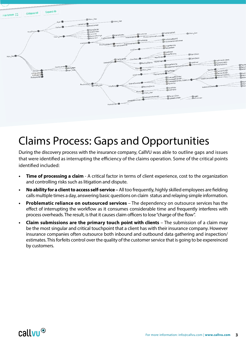

## Claims Process: Gaps and Opportunities

During the discovery process with the insurance company, CallVU was able to outline gaps and issues that were identified as interrupting the efficiency of the claims operation. Some of the critical points identified included:

- **Time of processing a claim** A critical factor in terms of client experience, cost to the organization and controlling risks such as litigation and dispute.
- **• No ability for a client to access self-service –** All too frequently, highly skilled employees are fielding calls multiple times a day, answering basic questions on claim status and relaying simple information.
- **• Problematic reliance on outsourced services**  The dependency on outsource services has the effect of interrupting the workflow as it consumes considerable time and frequently interferes with process overheads. The result, is that it causes claim officers to lose "charge of the flow".
- **• Claim submissions are the primary touch point with clients** The submission of a claim may be the most singular and critical touchpoint that a client has with their insurance company. However insurance companies often outsource both inbound and outbound data gathering and inspection/ estimates. This forfeits control over the quality of the customer service that is going to be expereinced by customers.

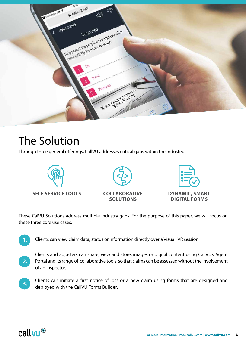

### The Solution

Through three general offerings, CallVU addresses critical gaps within the industry.





#### **COLLABORATIVE SOLUTIONS**



**DIGITAL FORMS**

These CalVU Solutions address multiple industry gaps. For the purpose of this paper, we will focus on these three core use cases:

**1.**

Clients can view claim data, status or information directly over a Visual IVR session.

- **2.** Clients and adjusters can share, view and store, images or digital content using CallVU's Agent Portal and its range of collaborative tools, so that claims can be assessed without the involvement of an inspector.
- **3.** Clients can initiate a first notice of loss or a new claim using forms that are designed and deployed with the CallVU Forms Builder.

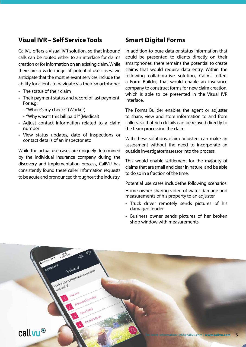#### **Visual IVR – Self Service Tools**

CallVU offers a Visual IVR solution, so that inbound calls can be routed either to an interface for claims creation or for information on an existing claim. While there are a wide range of potential use cases, we anticipate that the most relevant services include the ability for clients to navigate via their Smartphone:

- The status of their claim
- Their payment status and record of last payment. For e.g:
	- "Where's my check?" (Worker)
	- "Why wasn't this bill paid?" (Medical)
- Adjust contact information related to a claim number
- View status updates, date of inspections or contact details of an inspector etc

While the actual use cases are uniquely determined by the individual insurance company during the discovery and implementation process, CallVU has consistently found these caller information requests to be acute and pronounced throughout the industry.

#### **Smart Digital Forms**

In addition to pure data or status information that could be presented to clients directly on their smartphones, there remains the potential to create claims that would require data entry. Within the following collaborative solution, CallVU offers a Form Builder, that would enable an insurance company to construct forms for new claim creation, which is able to be presented in the Visual IVR interface.

The Forms Builder enables the agent or adjuster to share, view and store information to and from callers, so that rich details can be relayed directly to the team processing the claim.

With these solutions, claim adjusters can make an assessment without the need to incorporate an outside investigator/assessor into the process.

This would enable settlement for the majority of claims that are small and clear in nature, and be able to do so in a fraction of the time.

Potential use cases includethe following scenarios:

Home owner sharing video of water damage and measurements of his property to an adjuster

- Truck driver remotely sends pictures of his damaged fender
- Business owner sends pictures of her broken shop window with measurements.

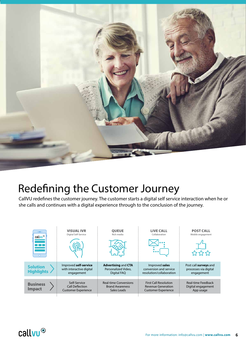

## Redefining the Customer Journey

CallVU redefines the customer journey. The customer starts a digital self service interaction when he or she calls and continues with a digital experience through to the conclusion of the journey.



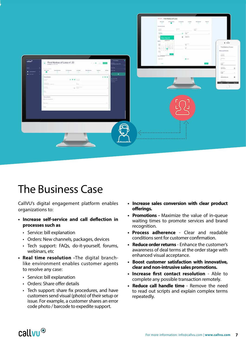

#### The Business Case

CallVU's digital engagement platform enables organizations to:

- **• Increase self-service and call deflection in processes such as**
	- Service: bill explanation
	- Orders: New channels, packages, devices
	- Tech support: FAQs, do-it-yourself, forums, webinars, etc.
- **• Real time resolution -**The digital branchlike environment enables customer agents to resolve any case:
	- Service: bill explanation
	- Orders: Share offer details
	- Tech support: share fix procedures, and have customers send visual (photo) of their setup or issue. For example, a customer shares an error code photo / barcode to expedite support.
- **• Increase sales conversion with clear product offerings.**
- **• Promotions** Maximize the value of in-queue waiting times to promote services and brand recognition.
- **• Process adherence** Clear and readable conditions sent for customer confirmation.
- **• Reduce order returns** Enhance the customer's awareness of deal terms at the order stage with enhanced visual acceptance.
- **• Boost customer satisfaction with innovative, clear and non-intrusive sales promotions.**
- **• Increase first contact resolution** Able to complete any possible transaction remotely.
- **• Reduce call handle time**  Remove the need to read out scripts and explain complex terms repeatedly.

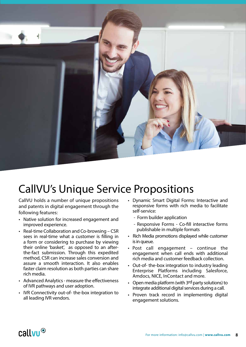

## CallVU's Unique Service Propositions

CallVU holds a number of unique propositions and patents in digital engagement through the following features:

- Native solution for increased engagement and improved experience.
- Real-time Collaboration and Co-browsing CSR sees in real-time what a customer is filling in a form or considering to purchase by viewing their online 'basket', as opposed to an afterthe-fact submission. Through this expedited method, CSR can increase sales conversion and assure a smooth interaction. It also enables faster claim resolution as both parties can share rich media.
- Advanced Analytics measure the effectiveness of IVR pathways and user adoption.
- IVR Connectivity out-of- the-box integration to all leading IVR vendors.
- Dynamic Smart Digital Forms: Interactive and responsive forms with rich media to facilitate self-service:
	- Form builder application
	- Responsive Forms Co-fill interactive forms publishable in multiple formats
- Rich Media promotions displayed while customer is in queue.
- Post call engagement continue the engagement when call ends with additional rich media and customer feedback collection.
- Out-of- the-box integration to industry leading Enterprise Platforms including Salesforce, Amdocs, NICE, InContact and more.
- Open media platform (with 3rd party solutions) to integrate additional digital services during a call.
- Proven track record in implementing digital engagement solutions.

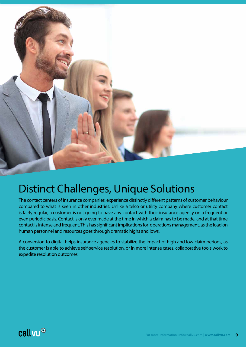

#### Distinct Challenges, Unique Solutions

The contact centers of insurance companies, experience distinctly different patterns of customer behaviour compared to what is seen in other industries. Unlike a telco or utility company where customer contact is fairly regular, a customer is not going to have any contact with their insurance agency on a frequent or even periodic basis. Contact is only ever made at the time in which a claim has to be made, and at that time contact is intense and frequent. This has significant implications for operations management, as the load on human personnel and resources goes through dramatic highs and lows.

A conversion to digital helps insurance agencies to stabilize the impact of high and low claim periods, as the customer is able to achieve self-service resolution, or in more intense cases, collaborative tools work to expedite resolution outcomes.